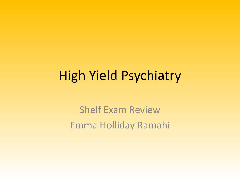# High Yield Psychiatry

Shelf Exam Review Emma Holliday Ramahi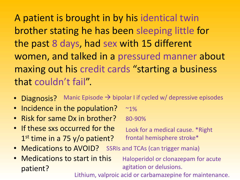A patient is brought in by his identical twin brother stating he has been sleeping little for the past 8 days, had sex with 15 different women, and talked in a pressured manner about maxing out his credit cards "starting a business that couldn't fail".

- Diagnosis? Manic Episode  $\rightarrow$  bipolar I if cycled w/ depressive episodes
- Incidence in the population?  $~1\%$
- Risk for same Dx in brother? 80-90%
- If these sxs occurred for the 1<sup>st</sup> time in a 75 y/o patient?

Look for a medical cause. \*Right frontal hemisphere stroke\*

- Medications to AVOID? SSRIs and TCAs (can trigger mania)
- Medications to start in this patient?

Haloperidol or clonazepam for acute agitation or delusions.

Lithium, valproic acid or carbamazepine for maintenance.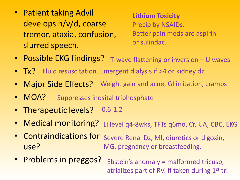• Patient taking Advil develops n/v/d, coarse tremor, ataxia, confusion, slurred speech.

**Lithium Toxicity** Precip by NSAIDs. Better pain meds are aspirin or sulindac.

- Possible EKG findings? T-wave flattening or inversion + U waves
- Tx? Fluid resuscitation. Emergent dialysis if >4 or kidney dz
- Major Side Effects? Weight gain and acne, GI irritation, cramps
- MOA? Suppresses inosital triphosphate
- Therapeutic levels? 0.6-1.2
- Medical monitoring? Li level q4-8wks, TFTs q6mo, Cr, UA, CBC, EKG
- Contraindications for use? Severe Renal Dz, MI, diuretics or digoxin, MG, pregnancy or breastfeeding.
- Problems in preggos? Ebstein's anomaly = malformed tricusp, atrializes part of RV. If taken during  $1<sup>st</sup>$  tri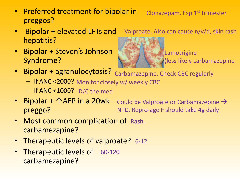- Preferred treatment for bipolar in preggos? Clonazepam. Esp 1st trimester
- Bipolar + elevated LFTs and hepatitis?
- Bipolar + Steven's Johnson Syndrome?



Lamotrigine (less likely carbamazepine

Valproate. Also can cause n/v/d, skin rash

- Bipolar + agranulocytosis? Carbamazepine. Check CBC regularly
	- If ANC <2000? Monitor closely w/ weekly CBC
	- If ANC <1000? D/C the med
- Bipolar + 个AFP in a 20wk preggo? Could be Valproate or Carbamazepine  $\rightarrow$ NTD. Repro-age F should take 4g daily
- Most common complication of Rash. carbamezapine?
- Therapeutic levels of valproate? 6-12
- Therapeutic levels of 60-120 carbamezapine?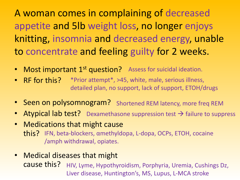A woman comes in complaining of decreased appetite and 5lb weight loss, no longer enjoys knitting, insomnia and decreased energy, unable to concentrate and feeling guilty for 2 weeks.

- Most important 1<sup>st</sup> question? Assess for suicidal ideation.
- RF for this? \*Prior attempt\*, >45, white, male, serious illness, detailed plan, no support, lack of support, ETOH/drugs
- Seen on polysomnogram? Shortened REM latency, more freq REM
- Atypical lab test? Dexamethasone suppression test  $\rightarrow$  failure to suppress
- Medications that might cause this? IFN, beta-blockers, αmethyldopa, L-dopa, OCPs, ETOH, cocaine /amph withdrawal, opiates.
- Medical diseases that might cause this? HIV, Lyme, Hypothyroidism, Porphyria, Uremia, Cushings Dz, Liver disease, Huntington's, MS, Lupus, L-MCA stroke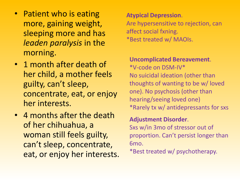- Patient who is eating more, gaining weight, sleeping more and has *leaden paralysis* in the morning.
- 1 month after death of her child, a mother feels guilty, can't sleep, concentrate, eat, or enjoy her interests.
- 4 months after the death of her chihuahua, a woman still feels guilty, can't sleep, concentrate, eat, or enjoy her interests.

#### **Atypical Depression**.

Are hypersensitive to rejection, can affect social fxning. \*Best treated w/ MAOIs.

# **Uncomplicated Bereavement**.

\*V-code on DSM-IV\* No suicidal ideation (other than thoughts of wanting to be w/ loved one). No psychosis (other than hearing/seeing loved one) \*Rarely tx w/ antidepressants for sxs

# **Adjustment Disorder**.

Sxs w/in 3mo of stressor out of proportion. Can't persist longer than 6mo.

\*Best treated w/ psychotherapy.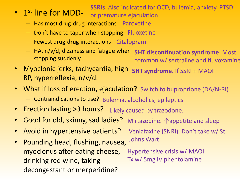### **SSRIs**. Also indicated for OCD, bulemia, anxiety, PTSD

- 1<sup>st</sup> line for MDD
	- or premature ejaculation
	- Has most drug-drug interactions Paroxetine
	- Don't have to taper when stopping Fluoxetine
	- Fewest drug-drug interactions Citalopram
	- $-$  HA, n/v/d, dizziness and fatigue when stopping suddenly. **5HT discontinuation syndrome**. Most common w/ sertraline and fluvoxamine
- Myoclonic jerks, tachycardia, high BP, hyperreflexia, n/v/d. **5HT syndrome**. If SSRI + MAOI
- What if loss of erection, ejaculation? Switch to buproprione (DA/N-RI)
	- Contraindications to use? Bulemia, alcoholics, epileptics
- Erection lasting > 3 hours? Likely caused by trazodone.
- Good for old, skinny, sad ladies? Mirtazepine. ↑appetite and sleep
- Avoid in hypertensive patients? Venlafaxine (SNRI). Don't take w/ St.
- Pounding head, flushing, nausea, myoclonus after eating cheese, drinking red wine, taking decongestant or merperidine? Johns Wart Hypertensive crisis w/ MAOI. Tx w/ 5mg IV phentolamine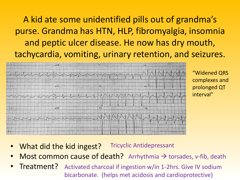A kid ate some unidentified pills out of grandma's purse. Grandma has HTN, HLP, fibromyalgia, insomnia and peptic ulcer disease. He now has dry mouth, tachycardia, vomiting, urinary retention, and seizures.



"Widened QRS complexes and prolonged QT interval"

- What did the kid ingest? Tricyclic Antidepressant
- Most common cause of death? Arrhythmia  $\rightarrow$  torsades, v-fib, death
- Treatment? Activated charcoal if ingestion w/in 1-2hrs. Give IV sodium bicarbonate. (helps met acidosis and cardioprotective)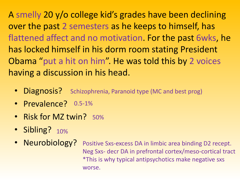A smelly 20 y/o college kid's grades have been declining over the past 2 semesters as he keeps to himself, has flattened affect and no motivation. For the past 6wks, he has locked himself in his dorm room stating President Obama "put a hit on him". He was told this by 2 voices having a discussion in his head.

- Diagnosis? Schizophrenia, Paranoid type (MC and best prog)
- Prevalence? 0.5-1%
- Risk for MZ twin? 50%
- Sibling? 10%
- Neurobiology? Positive Sxs-excess DA in limbic area binding D2 recept. Neg Sxs- decr DA in prefrontal cortex/meso-cortical tract \*This is why typical antipsychotics make negative sxs worse.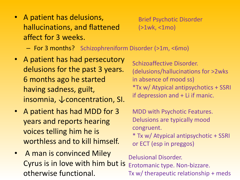• A patient has delusions, hallucinations, and flattened affect for 3 weeks.

Brief Psychotic Disorder (>1wk, <1mo)

- For 3 months? Schizophreniform Disorder (>1m, <6mo)
- A patient has had persecutory delusions for the past 3 years. 6 months ago he started having sadness, guilt, insomnia,  $\downarrow$  concentration, SI.
- A patient has had MDD for 3 years and reports hearing voices telling him he is worthless and to kill himself.
- A man is convinced Miley Cyrus is in love with him but is otherwise functional.

Schizoaffective Disorder. (delusions/hallucinations for >2wks in absence of mood ss) \*Tx w/ Atypical antipsychotics + SSRI if depression and + Li if manic.

MDD with Psychotic Features. Delusions are typically mood congruent.

\* Tx w/ Atypical antipsychotic + SSRI or ECT (esp in preggos)

Delusional Disorder. Erotomanic type. Non-bizzare. Tx w/ therapeutic relationship + meds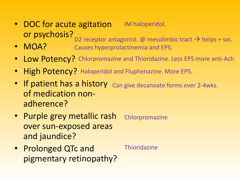- DOC for acute agitation or psychosis? IM haloperidol. D2 receptor antagonist. @ mesolimbic tract  $\rightarrow$  helps + sxs.
- MOA? Causes hyperprolactinemia and EPS.
- Low Potency? Chlorpromazine and Thioridazine. Less EPS more anti-Ach
- High Potency? Haloperidol and Fluphenazine. More EPS.
- If patient has a history Can give decanoate forms ever 2-4wks. of medication nonadherence?
- Purple grey metallic rash over sun-exposed areas and jaundice? Chlorpromazine
- Prolonged QTc and pigmentary retinopathy? **Thioridazine**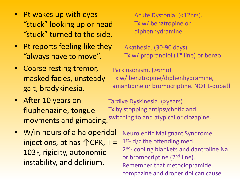- Pt wakes up with eyes "stuck" looking up or head "stuck" turned to the side.
- Pt reports feeling like they "always have to move".
- Coarse resting tremor, masked facies, unsteady gait, bradykinesia.
- After 10 years on fluphenazine, tongue movments and gimacing.
- W/in hours of a haloperidol injections, pt has  $\triangle$ CPK, T = 103F, rigidity, autonomic instability, and delirium.

Acute Dystonia. (<12hrs). Tx w/ benztropine or diphenhydramine

Akathesia. (30-90 days). Tx w/ propranolol  $(1<sup>st</sup>$  line) or benzo

Parkinsonism. (>6mo) Tx w/ benztropine/diphenhydramine, amantidine or bromocriptine. NOT L-dopa!!

Tardive Dyskinesia. (>years) Tx by stopping antipsychotic and switching to and atypical or clozapine.

> Neuroleptic Malignant Syndrome. 1<sup>st</sup>- d/c the offending med. 2<sup>nd</sup>- cooling blankets and dantroline Na or bromocriptine (2<sup>nd</sup> line). Remember that metoclopramide, compazine and droperidol can cause.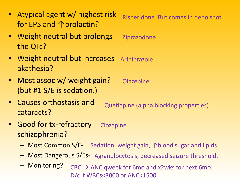- Atypical agent w/ highest risk for EPS and ↑prolactin?
- Weight neutral but prolongs the QTc?
- Weight neutral but increases akathesia? Aripiprazole.
- Most assoc w/ weight gain? (but #1 S/E is sedation.) **Olazepine**
- Causes orthostasis and cataracts? Quetiapine (alpha blocking properties)
- Good for tx-refractory schizophrenia? Clozapine
	- Most Common S/E- Sedation, weight gain, ↑blood sugar and lipids
	- Most Dangerous S/Es- Agranulocytosis, decreased seizure threshold.
	- Monitoring?  $CBC \rightarrow ANC$  qweek for 6mo and x2wks for next 6mo. D/c if WBCs<3000 or ANC<1500

Risperidone. But comes in depo shot

Ziprazodone.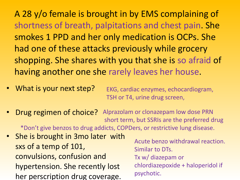A 28 y/o female is brought in by EMS complaining of shortness of breath, palpitations and chest pain. She smokes 1 PPD and her only medication is OCPs. She had one of these attacks previously while grocery shopping. She shares with you that she is so afraid of having another one she rarely leaves her house.

- What is your next step? EKG, cardiac enzymes, echocardiogram, TSH or T4, urine drug screen,
- Drug regimen of choice? Alprazolam or clonazepam low dose PRN short term, but SSRIs are the preferred drug \*Don't give benzos to drug addicts, COPDers, or restrictive lung disease.
- She is brought in 3mo later with sxs of a temp of 101, convulsions, confusion and hypertension. She recently lost her perscription drug coverage.
- Acute benzo withdrawal reaction. Similar to DTs. Tx w/ diazepam or chlordiazepoxide + haloperidol if psychotic.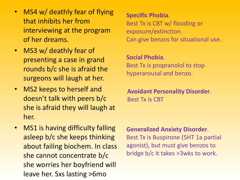- MS4 w/ deathly fear of flying that inhibits her from interviewing at the program of her dreams.
- MS3 w/ deathly fear of presenting a case in grand rounds b/c she is afraid the surgeons will laugh at her.
- MS2 keeps to herself and doesn't talk with peers b/c she is afraid they will laugh at her.
- MS1 is having difficulty falling asleep b/c she keeps thinking about failing biochem. In class she cannot concentrate b/c she worries her boyfriend will leave her. Sxs lasting >6mo

**Specific Phobia**. Best Tx is CBT w/ flooding or exposure/extinction. Can give benzos for situational use.

**Social Phobia**. Best Tx is propranolol to stop hyperarousal and benzo.

**Avoidant Personality Disorder**. Best Tx is CBT

**Generalized Anxiety Disorder**.

Best Tx is Buspirone (5HT 1a partial agonist), but must give benzos to bridge b/c it takes >3wks to work.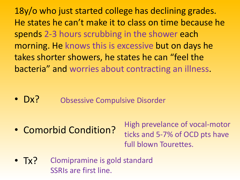18y/o who just started college has declining grades. He states he can't make it to class on time because he spends 2-3 hours scrubbing in the shower each morning. He knows this is excessive but on days he takes shorter showers, he states he can "feel the bacteria" and worries about contracting an illness.

 $\cdot$  Dx? Obsessive Compulsive Disorder

• Comorbid Condition?

High prevelance of vocal-motor ticks and 5-7% of OCD pts have full blown Tourettes.

• Tx? Clomipramine is gold standard SSRIs are first line.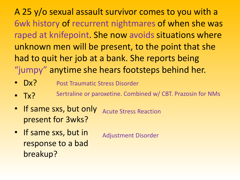A 25 y/o sexual assault survivor comes to you with a 6wk history of recurrent nightmares of when she was raped at knifepoint. She now avoids situations where unknown men will be present, to the point that she had to quit her job at a bank. She reports being "jumpy" anytime she hears footsteps behind her.

- Dx? Post Traumatic Stress Disorder
- $\bullet$  Tx? Sertraline or paroxetine. Combined w/ CBT. Prazosin for NMs
- If same sxs, but only present for 3wks? Acute Stress Reaction
- If same sxs, but in response to a bad breakup?

Adjustment Disorder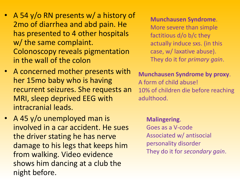- A 54 y/o RN presents w/ a history of 2mo of diarrhea and abd pain. He has presented to 4 other hospitals w/ the same complaint. Colonoscopy reveals pigmentation in the wall of the colon
- A concerned mother presents with her 15mo baby who is having recurrent seizures. She requests an MRI, sleep deprived EEG with intracranial leads.
- A 45 y/o unemployed man is involved in a car accident. He sues the driver stating he has nerve damage to his legs that keeps him from walking. Video evidence shows him dancing at a club the night before.

#### **Munchausen Syndrome**.

More severe than simple factitious d/o b/c they actually induce sxs. (in this case, w/ laxative abuse). They do it for *primary gain*.

**Munchausen Syndrome by proxy**. A form of child abuse! 10% of children die before reaching adulthood.

### **Malingering**.

Goes as a V-code Associated w/ antisocial personality disorder They do it for *secondary gain*.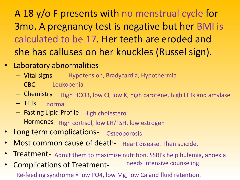A 18 y/o F presents with no menstrual cycle for 3mo. A pregnancy test is negative but her BMI is calculated to be 17. Her teeth are eroded and she has calluses on her knuckles (Russel sign).

- Laboratory abnormalities-
	- Vital signs Hypotension, Bradycardia, Hypothermia
	- CBC Leukopenia
	- Chemistry High HCO3, low Cl, low K, high carotene, high LFTs and amylase
	- TFTs normal
	- $-$  Fasting Lipid Profile High cholesterol
	- Hormones High cortisol, low LH/FSH, low estrogen
- Long term complications- Osteoporosis
- Most common cause of death- Heart disease. Then suicide.
- Treatment- Admit them to maximize nutrition. SSRI's help bulemia, anoexia
- Complications of Treatmentneeds intensive counseling. Re-feeding syndrome = low PO4, low Mg, low Ca and fluid retention.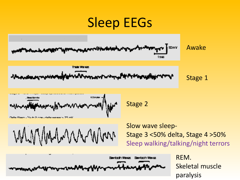# Sleep EEGs

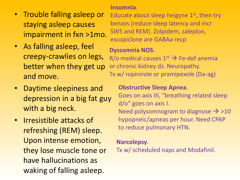- Trouble falling asleep or staying asleep causes impairment in fxn >1mo.
- As falling asleep, feel creepy-crawlies on legs, better when they get up and move.
- Daytime sleepiness and depression in a big fat guy with a big neck.
- Irresistible attacks of refreshing (REM) sleep. Upon intense emotion, they lose muscle tone or have hallucinations as waking of falling asleep.

#### **Insomnia**.

Educate about sleep heigyne  $1<sup>st</sup>$ , then try benzos (reduce sleep latency and incr SWS and REM). Zolpidem, zaleplon, escopiclone are GABAa recp

## **Dyssomnia NOS**.

R/o medical causes  $1<sup>st</sup> \rightarrow$  Fe-def anemia or chronic kidney dz. Neuropathy. Tx w/ ropinirole or pramipexole (Da-ag)

### **Obstructive Sleep Apnea**.

Goes on axis III, "breathing related sleep d/o" goes on axis I. Need polysomnogram to diagnose  $\rightarrow$  >10 hypopneic/apneas per hour. Need CPAP to reduce pulmonary HTN.

### **Narcolepsy**.

Tx w/ scheduled naps and Modafinil.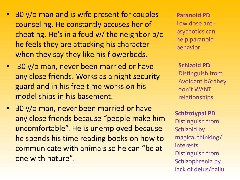- 30 y/o man and is wife present for couples counseling. He constantly accuses her of cheating. He's in a feud w/ the neighbor b/c he feels they are attacking his character when they say they like his flowerbeds.
- 30 y/o man, never been married or have any close friends. Works as a night security guard and in his free time works on his model ships in his basement.
- 30 y/o man, never been married or have any close friends because "people make him uncomfortable". He is unemployed because he spends his time reading books on how to communicate with animals so he can "be at one with nature".

**Paranoid PD** Low dose antipsychotics can help paranoid behavior.

**Schizoid PD** Distinguish from Avoidant b/c they don't WANT relationships

**Schizotypal PD** Distinguish from Schizoid by magical thinking/ interests. Distinguish from Schizophrenia by lack of delus/hallu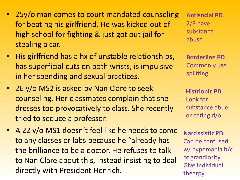- 25y/o man comes to court mandated counseling for beating his girlfriend. He was kicked out of high school for fighting & just got out jail for stealing a car.
- His girlfriend has a hx of unstable relationships, has superficial cuts on both wrists, is impulsive in her spending and sexual practices.
- 26 y/o MS2 is asked by Nan Clare to seek counseling. Her classmates complain that she dresses too provocatively to class. She recently tried to seduce a professor.
- A 22 y/o MS1 doesn't feel like he needs to come to any classes or labs because he "already has the brilliance to be a doctor. He refuses to talk to Nan Clare about this, instead insisting to deal directly with President Henrich.

**Antisocial PD**. 2/3 have substance abuse.

**Borderline PD**. Commonly use splitting.

**Histrionic PD**. Look for substance abue or eating d/o

**Narcissistic PD**. Can be confused w/ hypomania b/c of grandiosity. Give individual thearpy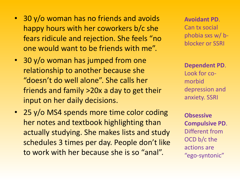- 30 y/o woman has no friends and avoids happy hours with her coworkers b/c she fears ridicule and rejection. She feels "no one would want to be friends with me".
- 30 y/o woman has jumped from one relationship to another because she "doesn't do well alone". She calls her friends and family >20x a day to get their input on her daily decisions.
- 25 y/o MS4 spends more time color coding her notes and textbook highlighting than actually studying. She makes lists and study schedules 3 times per day. People don't like to work with her because she is so "anal".

**Avoidant PD**. Can tx social phobia sxs w/ bblocker or SSRI

**Dependent PD**. Look for comorbid depression and anxiety. SSRI

**Obsessive Compulsive PD**. Different from OCD b/c the actions are "ego-syntonic"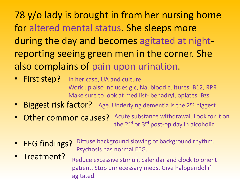78 y/o lady is brought in from her nursing home for altered mental status. She sleeps more during the day and becomes agitated at nightreporting seeing green men in the corner. She also complains of pain upon urination.

- First step? In her case, UA and culture. Work up also includes glc, Na, blood cultures, B12, RPR Make sure to look at med list- benadryl, opiates, Bzs
- Biggest risk factor? Age. Underlying dementia is the 2<sup>nd</sup> biggest
- Other common causes? Acute substance withdrawal. Look for it on the 2<sup>nd</sup> or 3<sup>rd</sup> post-op day in alcoholic.
- EEG findings? Diffuse background slowing of background rhythm. Psychosis has normal EEG.
- Treatment? Reduce excessive stimuli, calendar and clock to orient patient. Stop unnecessary meds. Give haloperidol if agitated.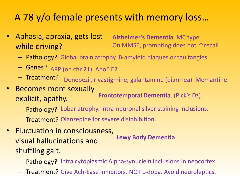# A 78 y/o female presents with memory loss…

• Aphasia, apraxia, gets lost while driving?

**Alzheimer's Dementia**. MC type. On MMSE, prompting does not  $\uparrow$  recall

- Pathology? Global brain atrophy. B-amyloid plaques or tau tangles
- Genes? APP (on chr 21), ApoE E2
- Treatment? Donepezil, rivastigmine, galantamine (diarrhea). Memantine
- Becomes more sexually explicit, apathy. **Frontotemporal Dementia**. (Pick's Dz).
	- Pathology? Lobar atrophy. Intra-neuronal silver staining inclusions.
	- Treatment? Olanzepine for severe disinhibition.
- Fluctuation in consciousness, visual hallucinations and shuffling gait. **Lewy Body Dementia**
	- Pathology? Intra cytoplasmic Alpha-synuclein inclusions in neocortex
	- Treatment? Give Ach-Ease inhibitors. NOT L-dopa. Avoid neuroleptics.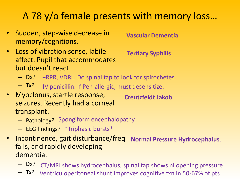# A 78 y/o female presents with memory loss…

- Sudden, step-wise decrease in memory/cognitions.
- **Vascular Dementia**.
- Loss of vibration sense, labile affect. Pupil that accommodates but doesn't react.
- **Tertiary Syphilis**.
- Dx? +RPR, VDRL. Do spinal tap to look for spirochetes.
- $-$  Tx? IV penicillin. If Pen-allergic, must desensitize.
- Myoclonus, startle response, seizures. Recently had a corneal transplant. **Creutzfeldt Jakob**.
	- Pathology? Spongiform encephalopathy
	- EEG findings? \*Triphasic bursts\*
- Incontinence, gait disturbance/freq falls, and rapidly developing dementia. **Normal Pressure Hydrocephalus**.
	- Dx? CT/MRI shows hydrocephalus, spinal tap shows nl opening pressure
	- $Tx$ ? Ventriculoperitoneal shunt improves cognitive fxn in 50-67% of pts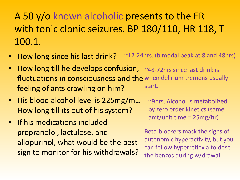A 50 y/o known alcoholic presents to the ER with tonic clonic seizures. BP 180/110, HR 118, T 100.1.

- How long since his last drink?  $\sim$ 12-24hrs. (bimodal peak at 8 and 48hrs)
- How long till he develops confusion, fluctuations in consciousness and the when delirium tremens usually feeling of ants crawling on him? ~48-72hrs since last drink is start.
- His blood alcohol level is 225mg/mL. How long till its out of his system?
- If his medications included propranolol, lactulose, and allopurinol, what would be the best sign to monitor for his withdrawals?

~9hrs, Alcohol is metabolized by zero order kinetics (same amt/unit time = 25mg/hr)

Beta-blockers mask the signs of autonomic hyperactivity, but you can follow hyperreflexia to dose the benzos during w/drawal.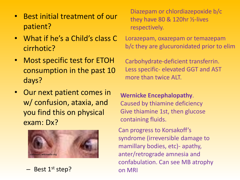- Best initial treatment of our patient?
- What if he's a Child's class C cirrhotic?
- Most specific test for ETOH consumption in the past 10 days?
- Our next patient comes in w/ confusion, ataxia, and you find this on physical exam: Dx?



– Best 1<sup>st</sup> step?

Diazepam or chlordiazepoxide b/c they have 80 & 120hr ½-lives respectively.

Lorazepam, oxazepam or temazepam b/c they are glucuronidated prior to elim

Carbohydrate-deficient transferrin. Less specific- elevated GGT and AST more than twice ALT.

**Wernicke Encephalopathy**. Caused by thiamine deficiency Give thiamine 1st, then glucose containing fluids.

Can progress to Korsakoff's syndrome (irreversible damage to mamillary bodies, etc)- apathy, anter/retrograde amnesia and confabulation. Can see MB atrophy on MRI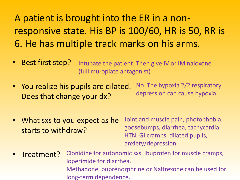A patient is brought into the ER in a nonresponsive state. His BP is 100/60, HR is 50, RR is 6. He has multiple track marks on his arms.

- Best first step? Intubate the patient. Then give IV or IM naloxone (full mu-opiate antagonist)
- You realize his pupils are dilated. Does that change your dx? No. The hypoxia 2/2 respiratory depression can cause hypoxia
- What sxs to you expect as he starts to withdraw?

Joint and muscle pain, photophobia, goosebumps, diarrhea, tachycardia, HTN, GI cramps, dilated pupils, anxiety/depression

• Treatment? Clonidine for autonomic sxs, ibuprofen for muscle cramps, loperimide for diarrhea. Methadone, buprenorphrine or Naltrexone can be used for long-term dependence.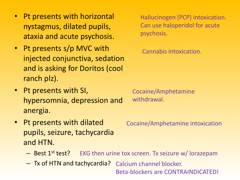- Pt presents with horizontal nystagmus, dilated pupils, ataxia and acute psychosis.
- Pt presents s/p MVC with injected conjunctiva, sedation and is asking for Doritos (cool ranch plz).
- Pt presents with SI, hypersomnia, depression and anergia.
- Pt presents with dilated pupils, seizure, tachycardia and HTN.
	- Best 1<sup>st</sup> test? EKG then urine tox screen. Tx seizure w/ lorazepam
	- Tx of HTN and tachycardia? Calcium channel blocker.

Beta-blockers are CONTRAINDICATED!

Hallucinogen (PCP) intoxication. Can use haloperidol for acute psychosis.

Cannabis intoxication.

Cocaine/Amphetamine withdrawal.

Cocaine/Amphetamine intoxication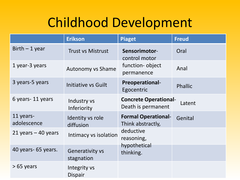# Childhood Development

|                          | <b>Erikson</b>                       | <b>Piaget</b>                                      | <b>Freud</b>   |
|--------------------------|--------------------------------------|----------------------------------------------------|----------------|
| $Birth - 1 year$         | <b>Trust vs Mistrust</b>             | Sensorimotor-<br>control motor                     | Oral           |
| 1 year-3 years           | <b>Autonomy vs Shame</b>             | function-object<br>permanence                      | Anal           |
| 3 years-5 years          | Initiative vs Guilt                  | <b>Preoperational-</b><br>Egocentric               | <b>Phallic</b> |
| 6 years - 11 years       | Industry vs<br>Inferiority           | <b>Concrete Operational-</b><br>Death is permanent | Latent         |
| 11 years-<br>adolescence | Identity vs role<br>diffusion        | <b>Formal Operational-</b><br>Think abstractly,    | Genital        |
| 21 years $-$ 40 years    | Intimacy vs isolation                | deductive<br>reasoning,                            |                |
| 40 years- 65 years.      | <b>Generativity vs</b><br>stagnation | hypothetical<br>thinking.                          |                |
| $>65$ years              | Integrity vs<br>Dispair              |                                                    |                |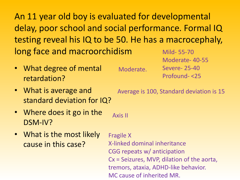An 11 year old boy is evaluated for developmental delay, poor school and social performance. Formal IQ testing reveal his IQ to be 50. He has a macrocephaly, long face and macroorchidism Mild- 55-70

Moderate.

- What degree of mental retardation?
- What is average and standard deviation for IQ?
- Where does it go in the DSM-IV? Axis II
- What is the most likely cause in this case?

Average is 100, Standard deviation is 15

Moderate- 40-55

Severe- 25-40

Profound- <25

Fragile X X-linked dominal inheritance CGG repeats w/ anticipation Cx = Seizures, MVP, dilation of the aorta, tremors, ataxia, ADHD-like behavior. MC cause of inherited MR.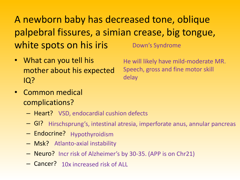A newborn baby has decreased tone, oblique palpebral fissures, a simian crease, big tongue, white spots on his iris Down's Syndrome

• What can you tell his mother about his expected IQ?

He will likely have mild-moderate MR. Speech, gross and fine motor skill delay

- Common medical complications?
	- Heart? VSD, endocardial cushion defects
	- GI? Hirschsprung's, intestinal atresia, imperforate anus, annular pancreas
	- Endocrine? Hypothyroidism
	- Msk? Atlanto-axial instability
	- Neuro? Incr risk of Alzheimer's by 30-35. (APP is on Chr21)
	- Cancer? 10x increased risk of ALL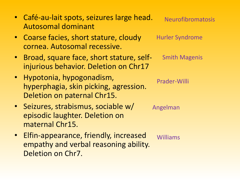| • Café-au-lait spots, seizures large head. | Neurofibromatosis |
|--------------------------------------------|-------------------|
| Autosomal dominant                         |                   |

- Coarse facies, short stature, cloudy cornea. Autosomal recessive.
- Broad, square face, short stature, selfinjurious behavior. Deletion on Chr17
- Hypotonia, hypogonadism, hyperphagia, skin picking, agression. Deletion on paternal Chr15.
- Seizures, strabismus, sociable w/ episodic laughter. Deletion on maternal Chr15.
- Elfin-appearance, friendly, increased empathy and verbal reasoning ability. Deletion on Chr7.

Smith Magenis

Hurler Syndrome

Prader-Willi

Angelman

Williams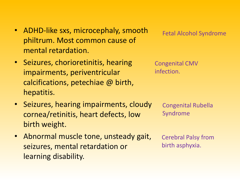- ADHD-like sxs, microcephaly, smooth philtrum. Most common cause of mental retardation.
- Seizures, chorioretinitis, hearing impairments, periventricular calcifications, petechiae @ birth, hepatitis.
- Seizures, hearing impairments, cloudy cornea/retinitis, heart defects, low birth weight.
- Abnormal muscle tone, unsteady gait, seizures, mental retardation or learning disability.

Fetal Alcohol Syndrome

Congenital CMV infection.

> Congenital Rubella Syndrome

Cerebral Palsy from birth asphyxia.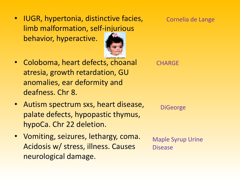• IUGR, hypertonia, distinctive facies, limb malformation, self[-injurio](http://www.google.com/imgres?imgurl=http://www.psychnet-uk.com/dsm_iv/pictures/9.jpg&imgrefurl=http://www.psychnet-uk.com/dsm_iv/cornelia_de_lange_syndrome.htm&usg=__d93QUHm_vn3pT1PeU2TjuxO7_0w=&h=189&w=160&sz=9&hl=en&start=1&um=1&itbs=1&tbnid=TbiLyw4E3dkUrM:&tbnh=103&tbnw=87&prev=/images?q=Cornelia+de+Lange&um=1&hl=en&sa=N&tbs=isch:1)us behavior, hyperactive.



- Coloboma, heart defects, choanal atresia, growth retardation, GU anomalies, ear deformity and deafness. Chr 8.
- Autism spectrum sxs, heart disease, palate defects, hypopastic thymus, hypoCa. Chr 22 deletion.
- Vomiting, seizures, lethargy, coma. Acidosis w/ stress, illness. Causes neurological damage.

**CHARGE** 

**DiGeorge** 

Maple Syrup Urine Disease

Cornelia de Lange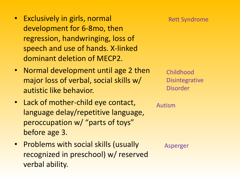- Exclusively in girls, normal development for 6-8mo, then regression, handwringing, loss of speech and use of hands. X-linked dominant deletion of MECP2.
- Normal development until age 2 then major loss of verbal, social skills w/ autistic like behavior.
- Lack of mother-child eye contact, language delay/repetitive language, peroccupation w/ "parts of toys" before age 3.
- Problems with social skills (usually recognized in preschool) w/ reserved verbal ability.

Asperger

Autism

Childhood **Disintegrative** Disorder

Rett Syndrome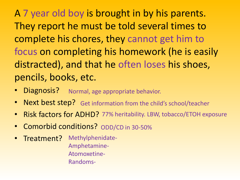A 7 year old boy is brought in by his parents. They report he must be told several times to complete his chores, they cannot get him to focus on completing his homework (he is easily distracted), and that he often loses his shoes, pencils, books, etc.

- Diagnosis? Normal, age appropriate behavior.
- Next best step? Get information from the child's school/teacher
- Risk factors for ADHD? 77% heritability. LBW, tobacco/ETOH exposure
- Comorbid conditions? ODD/CD in 30-50%
- Treatment? Methylphenidate-Amphetamine-Atomoxetine-Randoms-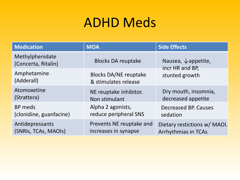# ADHD Meds

| <b>Medication</b>                      | <b>MOA</b>                                           | <b>Side Effects</b>                               |  |
|----------------------------------------|------------------------------------------------------|---------------------------------------------------|--|
| Methylphenidate<br>(Concerta, Ritalin) | <b>Blocks DA reuptake</b>                            | Nausea, $\downarrow$ appetite,<br>incr HR and BP, |  |
| Amphetamine<br>(Adderall)              | <b>Blocks DA/NE reuptake</b><br>& stimulates release | stunted growth                                    |  |
| Atomoxetine                            | NE reuptake inhibitor.                               | Dry mouth, insomnia,                              |  |
| (Strattera)                            | Non stimulant                                        | decreased appetite                                |  |
| BP meds                                | Alpha 2 agonists,                                    | Decreased BP. Causes                              |  |
| (clonidine, guanfacine)                | reduce peripheral SNS                                | sedation                                          |  |
| Antidepressants                        | Prevents NE reuptake and                             | Dietary restictions w/ MAOI.                      |  |
| (SNRIs, TCAs, MAOIs)                   | increases in synapse                                 | Arrhythmias in TCAs                               |  |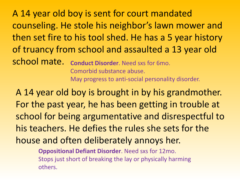A 14 year old boy is sent for court mandated counseling. He stole his neighbor's lawn mower and then set fire to his tool shed. He has a 5 year history of truancy from school and assaulted a 13 year old school mate. **Conduct Disorder**. Need sxs for 6mo. Comorbid substance abuse.

May progress to anti-social personality disorder.

A 14 year old boy is brought in by his grandmother. For the past year, he has been getting in trouble at school for being argumentative and disrespectful to his teachers. He defies the rules she sets for the house and often deliberately annoys her.

> **Oppositional Defiant Disorder**. Need sxs for 12mo. Stops just short of breaking the lay or physically harming others.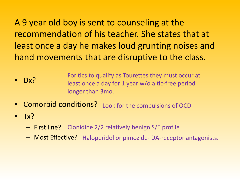A 9 year old boy is sent to counseling at the recommendation of his teacher. She states that at least once a day he makes loud grunting noises and hand movements that are disruptive to the class.

- Dx? For tics to qualify as Tourettes they must occur at least once a day for 1 year w/o a tic-free period longer than 3mo.
- Comorbid conditions? Look for the compulsions of OCD
- $\bullet$  Tx?
	- First line? Clonidine 2/2 relatively benign S/E profile
	- Most Effective? Haloperidol or pimozide-DA-receptor antagonists.